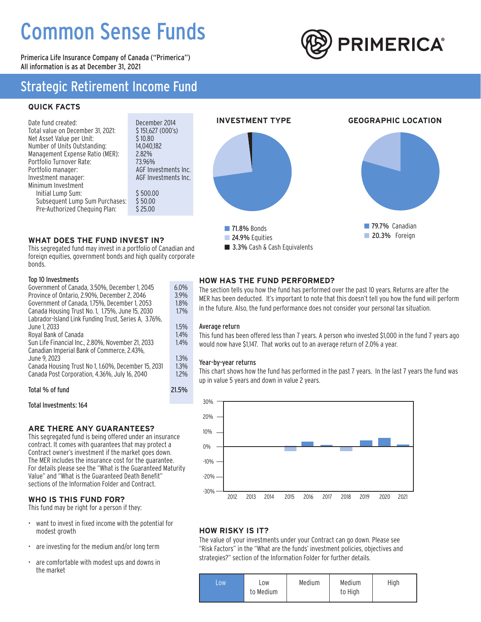# Common Sense Funds

Primerica Life Insurance Company of Canada ("Primerica") All information is as at December 31, 2021



## Strategic Retirement Income Fund

## **QUICK FACTS**

| Date fund created:                | December 2014        |
|-----------------------------------|----------------------|
| Total value on December 31, 2021: | \$151,627 (000's)    |
| Net Asset Value per Unit:         | \$10.80              |
| Number of Units Outstanding:      | 14.040.182           |
| Management Expense Ratio (MER):   | 2.82%                |
| Portfolio Turnover Rate:          | 73.96%               |
| Portfolio manager:                | AGF Investments Inc. |
| Investment manager:               | AGF Investments Inc. |
| Minimum Investment                |                      |
| Initial Lump Sum:                 | \$500.00             |
| Subsequent Lump Sum Purchases:    | \$50.00              |
| Pre-Authorized Chequing Plan:     | \$25.00              |



3.3% Cash & Cash Equivalents

## **WHAT DOES THE FUND INVEST IN?**

This segregated fund may invest in a portfolio of Canadian and foreign equities, government bonds and high quality corporate bonds.

### Top 10 Investments

| Top 10 Investments                                   |         |
|------------------------------------------------------|---------|
| Government of Canada, 3.50%, December 1, 2045        | $6.0\%$ |
| Province of Ontario, 2.90%, December 2, 2046         | 3.9%    |
| Government of Canada, 1.75%, December 1, 2053        | 1.8%    |
| Canada Housing Trust No. 1, 1.75%, June 15, 2030     | 1.7%    |
| Labrador-Island Link Funding Trust, Series A, 3.76%, |         |
| June 1. 2033                                         | 1.5%    |
| Royal Bank of Canada                                 | 1.4%    |
| Sun Life Financial Inc., 2.80%, November 21, 2033    | $1.4\%$ |
| Canadian Imperial Bank of Commerce, 2.43%,           |         |
| June 9. 2023                                         | 1.3%    |
| Canada Housing Trust No 1, 1.60%, December 15, 2031  | 1.3%    |
| Canada Post Corporation, 4.36%, July 16, 2040        | $1.2\%$ |
| Total % of fund                                      | 21.5%   |

Total Investments: 164

### **ARE THERE ANY GUARANTEES?**

This segregated fund is being offered under an insurance contract. It comes with guarantees that may protect a Contract owner's investment if the market goes down. The MER includes the insurance cost for the guarantee. For details please see the "What is the Guaranteed Maturity Value" and "What is the Guaranteed Death Benefit" sections of the Information Folder and Contract.

### **WHO IS THIS FUND FOR?**

This fund may be right for a person if they:

- want to invest in fixed income with the potential for modest growth
- are investing for the medium and/or long term
- are comfortable with modest ups and downs in the market

### **HOW HAS THE FUND PERFORMED?**

The section tells you how the fund has performed over the past 10 years. Returns are after the MER has been deducted. It's important to note that this doesn't tell you how the fund will perform in the future. Also, the fund performance does not consider your personal tax situation.

#### Average return

This fund has been offered less than 7 years. A person who invested \$1,000 in the fund 7 years ago would now have \$1,147. That works out to an average return of 2.0% a year.

#### Year-by-year returns

This chart shows how the fund has performed in the past 7 years. In the last 7 years the fund was up in value 5 years and down in value 2 years.



## **HOW RISKY IS IT?**

The value of your investments under your Contract can go down. Please see "Risk Factors" in the "What are the funds' investment policies, objectives and strategies?" section of the Information Folder for further details.

| .OW | LOW.<br>to Medium | Medium | Medium<br>to High | High |
|-----|-------------------|--------|-------------------|------|
|     |                   |        |                   |      |